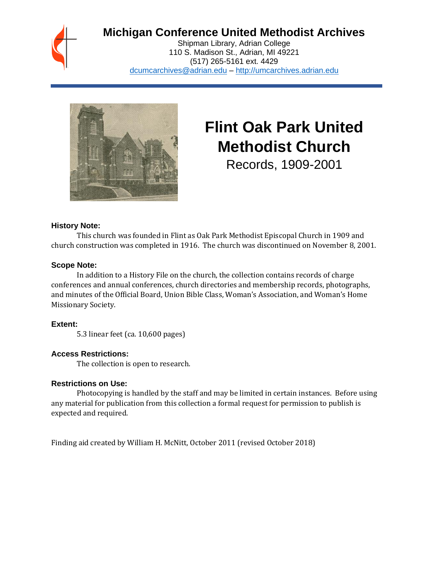

# **Michigan Conference United Methodist Archives**

Shipman Library, Adrian College 110 S. Madison St., Adrian, MI 49221 (517) 265-5161 ext. 4429 [dcumcarchives@adrian.edu](mailto:dcumcarchives@adrian.edu) – [http://umcarchives.adrian.edu](http://umcarchives.adrian.edu/)



# **Flint Oak Park United Methodist Church**

Records, 1909-2001

#### **History Note:**

This church was founded in Flint as Oak Park Methodist Episcopal Church in 1909 and church construction was completed in 1916. The church was discontinued on November 8, 2001.

#### **Scope Note:**

In addition to a History File on the church, the collection contains records of charge conferences and annual conferences, church directories and membership records, photographs, and minutes of the Official Board, Union Bible Class, Woman's Association, and Woman's Home Missionary Society.

# **Extent:**

5.3 linear feet (ca. 10,600 pages)

# **Access Restrictions:**

The collection is open to research.

#### **Restrictions on Use:**

Photocopying is handled by the staff and may be limited in certain instances. Before using any material for publication from this collection a formal request for permission to publish is expected and required.

Finding aid created by William H. McNitt, October 2011 (revised October 2018)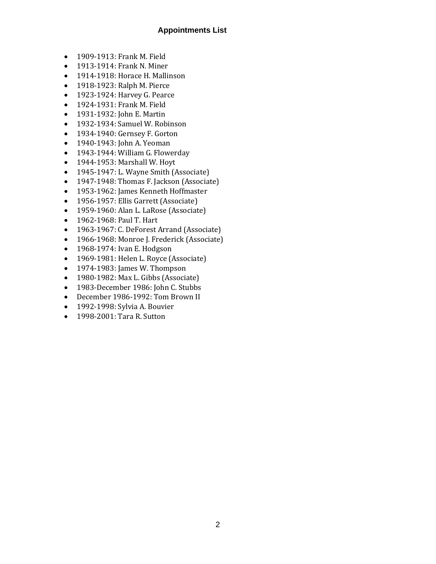#### **Appointments List**

- 1909-1913: Frank M. Field
- 1913-1914: Frank N. Miner
- 1914-1918: Horace H. Mallinson
- 1918-1923: Ralph M. Pierce
- 1923-1924: Harvey G. Pearce
- 1924-1931: Frank M. Field
- 1931-1932: John E. Martin
- 1932-1934: Samuel W. Robinson
- 1934-1940: Gernsey F. Gorton
- 1940-1943: John A. Yeoman
- 1943-1944: William G. Flowerday
- 1944-1953: Marshall W. Hoyt
- 1945-1947: L. Wayne Smith (Associate)
- 1947-1948: Thomas F. Jackson (Associate)
- 1953-1962: James Kenneth Hoffmaster
- 1956-1957: Ellis Garrett (Associate)
- 1959-1960: Alan L. LaRose (Associate)
- 1962-1968: Paul T. Hart
- 1963-1967: C. DeForest Arrand (Associate)
- 1966-1968: Monroe J. Frederick (Associate)
- 1968-1974: Ivan E. Hodgson
- 1969-1981: Helen L. Royce (Associate)
- 1974-1983: James W. Thompson
- 1980-1982: Max L. Gibbs (Associate)
- 1983-December 1986: John C. Stubbs
- December 1986-1992: Tom Brown II
- 1992-1998: Sylvia A. Bouvier
- 1998-2001: Tara R. Sutton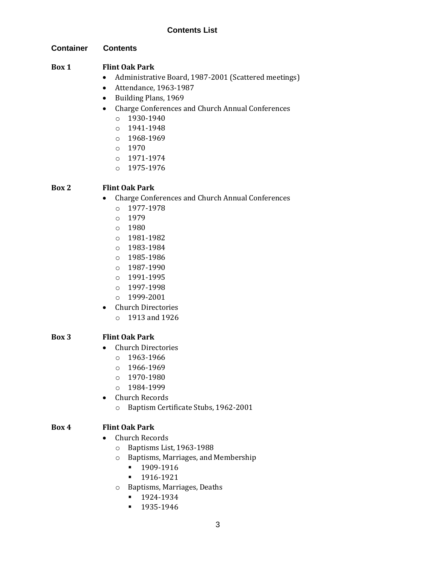## **Container Contents**

# **Box 1 Flint Oak Park**

- Administrative Board, 1987-2001 (Scattered meetings)
- Attendance, 1963-1987
- Building Plans, 1969
- Charge Conferences and Church Annual Conferences
	- o 1930-1940
	- o 1941-1948
	- o 1968-1969
	- o 1970
	- o 1971-1974
	- $O$  1975-1976

# **Box 2 Flint Oak Park**

- Charge Conferences and Church Annual Conferences
	- o 1977-1978
	- o 1979
	- o 1980
	- o 1981-1982
	- o 1983-1984
	- o 1985-1986
	- o 1987-1990
	- o 1991-1995
	- o 1997-1998
	- o 1999-2001
- Church Directories o 1913 and 1926

# **Box 3 Flint Oak Park**

- Church Directories
	- $0.1963 1966$
	- o 1966-1969
	- $O = 1970 1980$
	- o 1984-1999
- Church Records
	- o Baptism Certificate Stubs, 1962-2001

# **Box 4 Flint Oak Park**

- Church Records
	- o Baptisms List, 1963-1988
	- o Baptisms, Marriages, and Membership
		- 1909-1916
		- 1916-1921
	- o Baptisms, Marriages, Deaths
		- 1924-1934
		- 1935-1946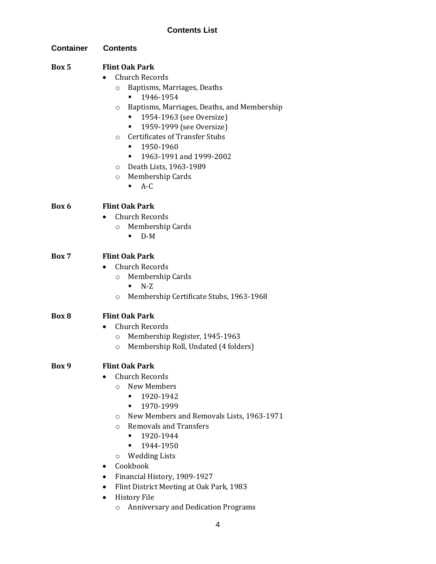# **Contents List**

| <b>Container</b> | <b>Contents</b>                                                                                                                                                                                                                                                                                                                                                                                                                                                                                                         |
|------------------|-------------------------------------------------------------------------------------------------------------------------------------------------------------------------------------------------------------------------------------------------------------------------------------------------------------------------------------------------------------------------------------------------------------------------------------------------------------------------------------------------------------------------|
| Box 5            | <b>Flint Oak Park</b><br><b>Church Records</b><br>Baptisms, Marriages, Deaths<br>$\circ$<br>1946-1954<br>٠<br>Baptisms, Marriages, Deaths, and Membership<br>O<br>1954-1963 (see Oversize)<br>1959-1999 (see Oversize)<br>٠<br><b>Certificates of Transfer Stubs</b><br>$\circ$<br>1950-1960<br>٠<br>1963-1991 and 1999-2002<br>٠<br>Death Lists, 1963-1989<br>$\circ$<br>Membership Cards<br>$\circ$<br>$A-C$<br>п                                                                                                     |
| Box 6            | <b>Flint Oak Park</b><br><b>Church Records</b><br>Membership Cards<br>$\circ$<br>$D-M$                                                                                                                                                                                                                                                                                                                                                                                                                                  |
| Box 7            | <b>Flint Oak Park</b><br><b>Church Records</b><br>Membership Cards<br>$\circ$<br>$N-Z$<br>$\blacksquare$<br>Membership Certificate Stubs, 1963-1968<br>O                                                                                                                                                                                                                                                                                                                                                                |
| Box 8            | <b>Flint Oak Park</b><br><b>Church Records</b><br>Membership Register, 1945-1963<br>$\circ$<br>Membership Roll, Undated (4 folders)<br>O                                                                                                                                                                                                                                                                                                                                                                                |
| Box 9            | <b>Flint Oak Park</b><br><b>Church Records</b><br><b>New Members</b><br>$\circ$<br>1920-1942<br>$\blacksquare$<br>1970-1999<br>٠<br>New Members and Removals Lists, 1963-1971<br>$\circ$<br><b>Removals and Transfers</b><br>$\circ$<br>1920-1944<br>$\blacksquare$<br>1944-1950<br>٠<br><b>Wedding Lists</b><br>$\circ$<br>Cookbook<br>٠<br>Financial History, 1909-1927<br>$\bullet$<br>Flint District Meeting at Oak Park, 1983<br>٠<br><b>History File</b><br><b>Anniversary and Dedication Programs</b><br>$\circ$ |